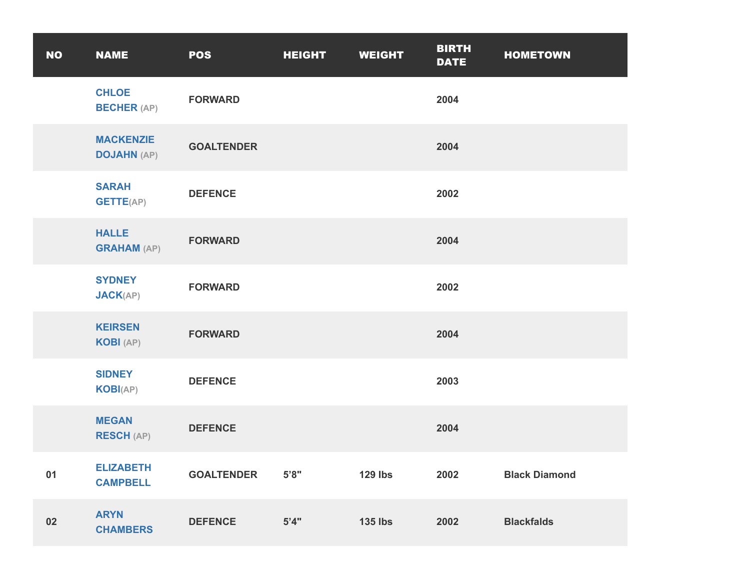| <b>NO</b> | <b>NAME</b>                            | <b>POS</b>        | <b>HEIGHT</b> | <b>WEIGHT</b>  | <b>BIRTH</b><br><b>DATE</b> | <b>HOMETOWN</b>      |
|-----------|----------------------------------------|-------------------|---------------|----------------|-----------------------------|----------------------|
|           | <b>CHLOE</b><br><b>BECHER (AP)</b>     | <b>FORWARD</b>    |               |                | 2004                        |                      |
|           | <b>MACKENZIE</b><br><b>DOJAHN (AP)</b> | <b>GOALTENDER</b> |               |                | 2004                        |                      |
|           | <b>SARAH</b><br><b>GETTE(AP)</b>       | <b>DEFENCE</b>    |               |                | 2002                        |                      |
|           | <b>HALLE</b><br><b>GRAHAM (AP)</b>     | <b>FORWARD</b>    |               |                | 2004                        |                      |
|           | <b>SYDNEY</b><br><b>JACK(AP)</b>       | <b>FORWARD</b>    |               |                | 2002                        |                      |
|           | <b>KEIRSEN</b><br><b>KOBI</b> (AP)     | <b>FORWARD</b>    |               |                | 2004                        |                      |
|           | <b>SIDNEY</b><br><b>KOBI(AP)</b>       | <b>DEFENCE</b>    |               |                | 2003                        |                      |
|           | <b>MEGAN</b><br><b>RESCH (AP)</b>      | <b>DEFENCE</b>    |               |                | 2004                        |                      |
| 01        | <b>ELIZABETH</b><br><b>CAMPBELL</b>    | <b>GOALTENDER</b> | 5'8"          | <b>129 lbs</b> | 2002                        | <b>Black Diamond</b> |
| 02        | <b>ARYN</b><br><b>CHAMBERS</b>         | <b>DEFENCE</b>    | 5'4"          | <b>135 lbs</b> | 2002                        | <b>Blackfalds</b>    |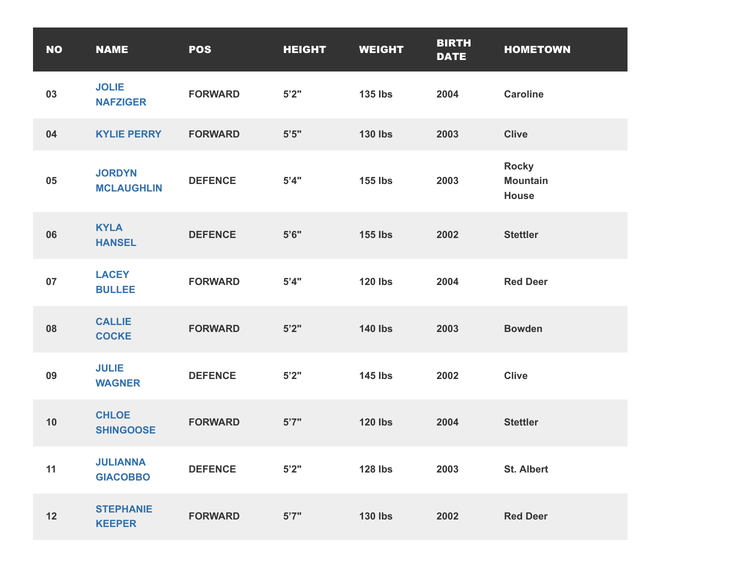| <b>NO</b> | <b>NAME</b>                        | <b>POS</b>     | <b>HEIGHT</b> | <b>WEIGHT</b>  | <b>BIRTH</b><br><b>DATE</b> | <b>HOMETOWN</b>                                 |
|-----------|------------------------------------|----------------|---------------|----------------|-----------------------------|-------------------------------------------------|
| 03        | <b>JOLIE</b><br><b>NAFZIGER</b>    | <b>FORWARD</b> | 5'2"          | <b>135 lbs</b> | 2004                        | <b>Caroline</b>                                 |
| 04        | <b>KYLIE PERRY</b>                 | <b>FORWARD</b> | $5'5"$        | <b>130 lbs</b> | 2003                        | <b>Clive</b>                                    |
| 05        | <b>JORDYN</b><br><b>MCLAUGHLIN</b> | <b>DEFENCE</b> | 5'4"          | <b>155 lbs</b> | 2003                        | <b>Rocky</b><br><b>Mountain</b><br><b>House</b> |
| 06        | <b>KYLA</b><br><b>HANSEL</b>       | <b>DEFENCE</b> | 5'6''         | <b>155 lbs</b> | 2002                        | <b>Stettler</b>                                 |
| 07        | <b>LACEY</b><br><b>BULLEE</b>      | <b>FORWARD</b> | 5'4"          | <b>120 lbs</b> | 2004                        | <b>Red Deer</b>                                 |
| 08        | <b>CALLIE</b><br><b>COCKE</b>      | <b>FORWARD</b> | 5'2''         | <b>140 lbs</b> | 2003                        | <b>Bowden</b>                                   |
| 09        | <b>JULIE</b><br><b>WAGNER</b>      | <b>DEFENCE</b> | 5'2"          | <b>145 lbs</b> | 2002                        | <b>Clive</b>                                    |
| 10        | <b>CHLOE</b><br><b>SHINGOOSE</b>   | <b>FORWARD</b> | 5'7''         | <b>120 lbs</b> | 2004                        | <b>Stettler</b>                                 |
| 11        | <b>JULIANNA</b><br><b>GIACOBBO</b> | <b>DEFENCE</b> | 5'2"          | <b>128 lbs</b> | 2003                        | <b>St. Albert</b>                               |
| 12        | <b>STEPHANIE</b><br><b>KEEPER</b>  | <b>FORWARD</b> | 5'7"          | <b>130 lbs</b> | 2002                        | <b>Red Deer</b>                                 |